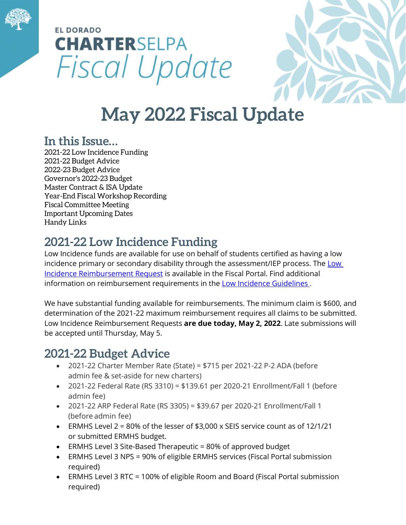

# **EL DORADO CHARTERSELPA** Fiscal Update



# **May 2022 Fiscal Update**

#### **In this Issue…**

2021-22 Low Incidence Funding 2021-22 Budget Advice 2022-23 Budget Advice Governor's 2022-23 Budget Master Contract & ISA Update Year-End Fiscal Workshop Recording Fiscal Committee Meeting Important Upcoming Dates Handy Links

## **2021-22 Low Incidence Funding**

Low Incidence funds are available for use on behalf of students certified as having a low incidence primary or secondary disability through the assessment/IEP process. The Low Incidence Reimbursement Request is available in the Fiscal Portal. Find additional information on reimbursement requirements in the **Low Incidence Guidelines**.

We have substantial funding available for reimbursements. The minimum claim is \$600, and determination of the 2021-22 maximum reimbursement requires all claims to be submitted. Low Incidence Reimbursement Requests **are due today, May 2, 2022**. Late submissions will be accepted until Thursday, May 5.

### **2021-22 Budget Advice**

- 2021-22 Charter Member Rate (State) = \$715 per 2021-22 P-2 ADA (before admin fee & set-aside for new charters)
- 2021-22 Federal Rate (RS 3310) = \$139.61 per 2020-21 Enrollment/Fall 1 (before admin fee)
- 2021-22 ARP Federal Rate (RS 3305) = \$39.67 per 2020-21 Enrollment/Fall 1 (before admin fee)
- ERMHS Level 2 = 80% of the lesser of  $$3,000 \times$  SEIS service count as of 12/1/21 or submitted ERMHS budget.
- ERMHS Level 3 Site-Based Therapeutic = 80% of approved budget
- ERMHS Level 3 NPS = 90% of eligible ERMHS services (Fiscal Portal submission required)
- ERMHS Level 3 RTC = 100% of eligible Room and Board (Fiscal Portal submission required)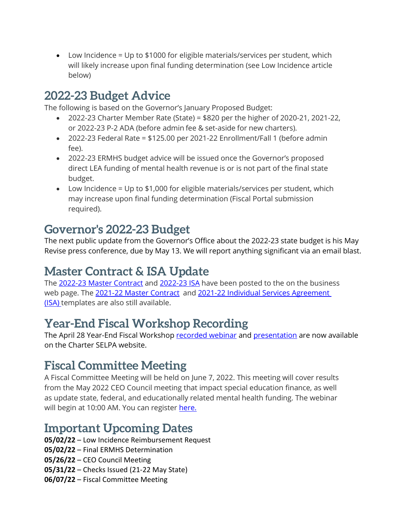• Low Incidence = Up to \$1000 for eligible materials/services per student, which will likely increase upon final funding determination (see Low Incidence article below)

#### **2022-23 Budget Advice**

The following is based on the Governor's January Proposed Budget:

- 2022-23 Charter Member Rate (State) = \$820 per the higher of 2020-21, 2021-22, or 2022-23 P-2 ADA (before admin fee & set-aside for new charters).
- 2022-23 Federal Rate = \$125.00 per 2021-22 Enrollment/Fall 1 (before admin fee).
- 2022-23 ERMHS budget advice will be issued once the Governor's proposed direct LEA funding of mental health revenue is or is not part of the final state budget.
- Low Incidence = Up to \$1,000 for eligible materials/services per student, which may increase upon final funding determination (Fiscal Portal submission required).

#### **Governor's 2022-23 Budget**

The next public update from the Governor's Office about the 2022-23 state budget is his May Revise press conference, due by May 13. We will report anything significant via an email blast.

### **Master Contract & ISA Update**

The [2022-23 Master Contract](https://charterselpa.org/wp-content/uploads/2022/03/State-SELPA-2022-2023-Final-Master-Contract-TOC-1.docx) and [2022-23 ISA](https://charterselpa.org/wp-content/uploads/2022/04/22-23-ISA-02-15-2022.xlsx) have been posted to the on the business web page. The [2021-22 Master Contract](https://view.officeapps.live.com/op/view.aspx?src=https%3A%2F%2Fcharterselpa.org%2Fwp-content%2Fuploads%2F2021%2F03%2F2021-2022-Master-Contract.docx&wdOrigin=BROWSELINK) and 2021-22 Individual Services Agreement [\(ISA\)](https://view.officeapps.live.com/op/view.aspx?src=https%3A%2F%2Fcharterselpa.org%2Fwp-content%2Fuploads%2F2021%2F03%2F2021-22-Individual-Services-Agreement-ISA.xlsx&wdOrigin=BROWSELINK) templates are also still available.

### **Year-End Fiscal Workshop Recording**

The April 28 Year-End Fiscal Workshop [recorded webinar](https://youtu.be/Uy0L-WlKJVM) and [presentation](https://charterselpa.org/wp-content/uploads/2022/04/Fiscal-Workshop-April-2022-23-PowerPoint-Reduced.pdf) are now available on the Charter SELPA website.

### **Fiscal Committee Meeting**

A Fiscal Committee Meeting will be held on June 7, 2022. This meeting will cover results from the May 2022 CEO Council meeting that impact special education finance, as well as update state, federal, and educationally related mental health funding. The webinar will begin at 10:00 AM. You can register [here.](https://edcoe.force.com/edcoeevents/s/lt-event?id=a4Q3l000000OCW1EAO&site=a3F3l000002ibi9EAA)

#### **Important Upcoming Dates**

- **05/02/22** Low Incidence Reimbursement Request
- **05/02/22** Final ERMHS Determination
- **05/26/22** CEO Council Meeting
- **05/31/22** Checks Issued (21-22 May State)
- **06/07/22** Fiscal Committee Meeting